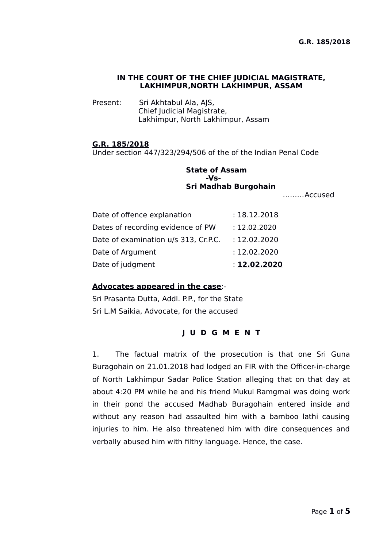#### **IN THE COURT OF THE CHIEF JUDICIAL MAGISTRATE, LAKHIMPUR,NORTH LAKHIMPUR, ASSAM**

Present: Sri Akhtabul Ala, AJS, Chief Judicial Magistrate, Lakhimpur, North Lakhimpur, Assam

#### **G.R. 185/2018**

Under section 447/323/294/506 of the of the Indian Penal Code

# **State of Assam -Vs-Sri Madhab Burgohain**

………Accused

| Date of judgment                     | : 12.02.2020 |
|--------------------------------------|--------------|
| Date of Argument                     | : 12.02.2020 |
| Date of examination u/s 313, Cr.P.C. | : 12.02.2020 |
| Dates of recording evidence of PW    | : 12.02.2020 |
| Date of offence explanation          | : 18.12.2018 |

#### **Advocates appeared in the case**:-

Sri Prasanta Dutta, Addl. P.P., for the State Sri L.M Saikia, Advocate, for the accused

## **J U D G M E N T**

1. The factual matrix of the prosecution is that one Sri Guna Buragohain on 21.01.2018 had lodged an FIR with the Officer-in-charge of North Lakhimpur Sadar Police Station alleging that on that day at about 4:20 PM while he and his friend Mukul Ramgmai was doing work in their pond the accused Madhab Buragohain entered inside and without any reason had assaulted him with a bamboo lathi causing injuries to him. He also threatened him with dire consequences and verbally abused him with filthy language. Hence, the case.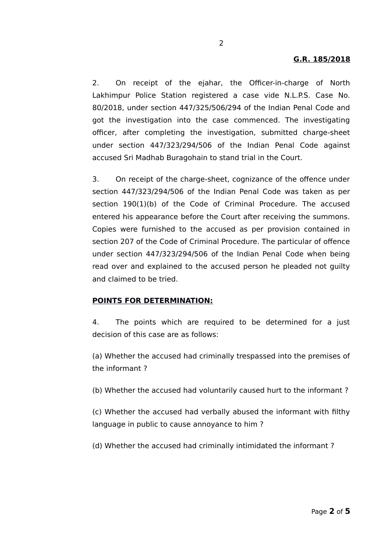2. On receipt of the ejahar, the Officer-in-charge of North Lakhimpur Police Station registered a case vide N.L.P.S. Case No. 80/2018, under section 447/325/506/294 of the Indian Penal Code and got the investigation into the case commenced. The investigating officer, after completing the investigation, submitted charge-sheet under section 447/323/294/506 of the Indian Penal Code against accused Sri Madhab Buragohain to stand trial in the Court.

3. On receipt of the charge-sheet, cognizance of the offence under section 447/323/294/506 of the Indian Penal Code was taken as per section 190(1)(b) of the Code of Criminal Procedure. The accused entered his appearance before the Court after receiving the summons. Copies were furnished to the accused as per provision contained in section 207 of the Code of Criminal Procedure. The particular of offence under section 447/323/294/506 of the Indian Penal Code when being read over and explained to the accused person he pleaded not guilty and claimed to be tried.

#### **POINTS FOR DETERMINATION:**

4. The points which are required to be determined for a just decision of this case are as follows:

(a) Whether the accused had criminally trespassed into the premises of the informant ?

(b) Whether the accused had voluntarily caused hurt to the informant ?

(c) Whether the accused had verbally abused the informant with filthy language in public to cause annoyance to him ?

(d) Whether the accused had criminally intimidated the informant ?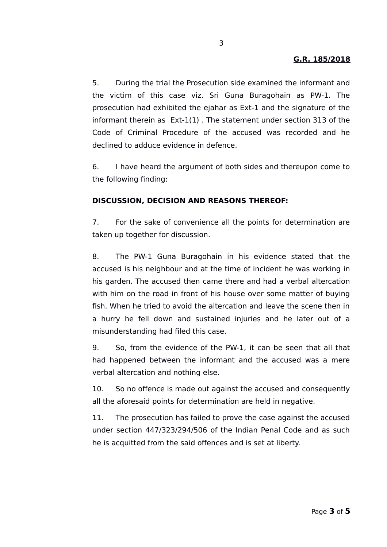## **G.R. 185/2018**

5. During the trial the Prosecution side examined the informant and the victim of this case viz. Sri Guna Buragohain as PW-1. The prosecution had exhibited the ejahar as Ext-1 and the signature of the informant therein as Ext-1(1) . The statement under section 313 of the Code of Criminal Procedure of the accused was recorded and he declined to adduce evidence in defence.

6. I have heard the argument of both sides and thereupon come to the following finding:

#### **DISCUSSION, DECISION AND REASONS THEREOF:**

7. For the sake of convenience all the points for determination are taken up together for discussion.

8. The PW-1 Guna Buragohain in his evidence stated that the accused is his neighbour and at the time of incident he was working in his garden. The accused then came there and had a verbal altercation with him on the road in front of his house over some matter of buying fish. When he tried to avoid the altercation and leave the scene then in a hurry he fell down and sustained injuries and he later out of a misunderstanding had filed this case.

9. So, from the evidence of the PW-1, it can be seen that all that had happened between the informant and the accused was a mere verbal altercation and nothing else.

10. So no offence is made out against the accused and consequently all the aforesaid points for determination are held in negative.

11. The prosecution has failed to prove the case against the accused under section 447/323/294/506 of the Indian Penal Code and as such he is acquitted from the said offences and is set at liberty.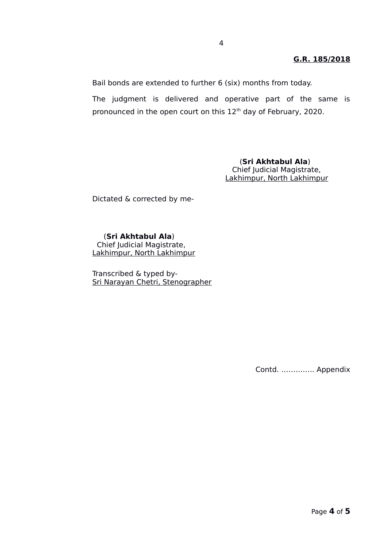## **G.R. 185/2018**

Bail bonds are extended to further 6 (six) months from today.

The judgment is delivered and operative part of the same is pronounced in the open court on this  $12<sup>th</sup>$  day of February, 2020.

> (**Sri Akhtabul Ala**) Chief Judicial Magistrate, Lakhimpur, North Lakhimpur

Dictated & corrected by me-

### (**Sri Akhtabul Ala**)

 Chief Judicial Magistrate, Lakhimpur, North Lakhimpur

Transcribed & typed by-Sri Narayan Chetri, Stenographer

Contd. ………….. Appendix